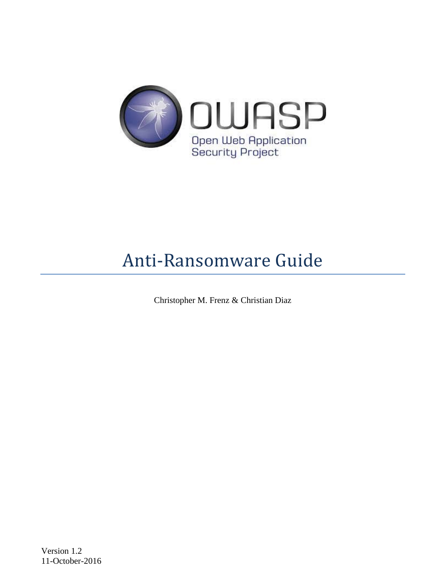

# Anti-Ransomware Guide

Christopher M. Frenz & Christian Diaz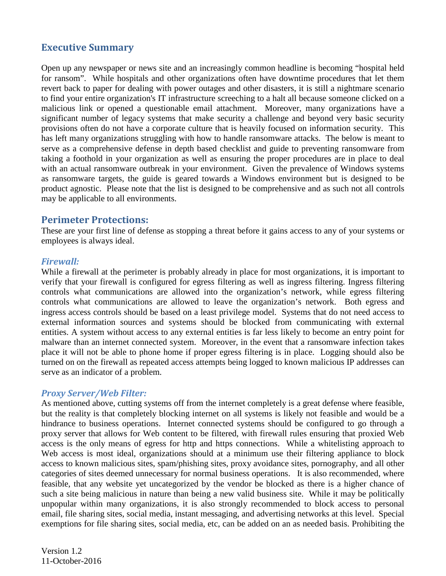# **Executive Summary**

Open up any newspaper or news site and an increasingly common headline is becoming "hospital held for ransom". While hospitals and other organizations often have downtime procedures that let them revert back to paper for dealing with power outages and other disasters, it is still a nightmare scenario to find your entire organization's IT infrastructure screeching to a halt all because someone clicked on a malicious link or opened a questionable email attachment. Moreover, many organizations have a significant number of legacy systems that make security a challenge and beyond very basic security provisions often do not have a corporate culture that is heavily focused on information security. This has left many organizations struggling with how to handle ransomware attacks. The below is meant to serve as a comprehensive defense in depth based checklist and guide to preventing ransomware from taking a foothold in your organization as well as ensuring the proper procedures are in place to deal with an actual ransomware outbreak in your environment. Given the prevalence of Windows systems as ransomware targets, the guide is geared towards a Windows environment but is designed to be product agnostic. Please note that the list is designed to be comprehensive and as such not all controls may be applicable to all environments.

# **Perimeter Protections:**

These are your first line of defense as stopping a threat before it gains access to any of your systems or employees is always ideal.

## *Firewall:*

While a firewall at the perimeter is probably already in place for most organizations, it is important to verify that your firewall is configured for egress filtering as well as ingress filtering. Ingress filtering controls what communications are allowed into the organization's network, while egress filtering controls what communications are allowed to leave the organization's network. Both egress and ingress access controls should be based on a least privilege model. Systems that do not need access to external information sources and systems should be blocked from communicating with external entities. A system without access to any external entities is far less likely to become an entry point for malware than an internet connected system. Moreover, in the event that a ransomware infection takes place it will not be able to phone home if proper egress filtering is in place. Logging should also be turned on on the firewall as repeated access attempts being logged to known malicious IP addresses can serve as an indicator of a problem.

# *Proxy Server/Web Filter:*

As mentioned above, cutting systems off from the internet completely is a great defense where feasible, but the reality is that completely blocking internet on all systems is likely not feasible and would be a hindrance to business operations. Internet connected systems should be configured to go through a proxy server that allows for Web content to be filtered, with firewall rules ensuring that proxied Web access is the only means of egress for http and https connections. While a whitelisting approach to Web access is most ideal, organizations should at a minimum use their filtering appliance to block access to known malicious sites, spam/phishing sites, proxy avoidance sites, pornography, and all other categories of sites deemed unnecessary for normal business operations. It is also recommended, where feasible, that any website yet uncategorized by the vendor be blocked as there is a higher chance of such a site being malicious in nature than being a new valid business site. While it may be politically unpopular within many organizations, it is also strongly recommended to block access to personal email, file sharing sites, social media, instant messaging, and advertising networks at this level. Special exemptions for file sharing sites, social media, etc, can be added on an as needed basis. Prohibiting the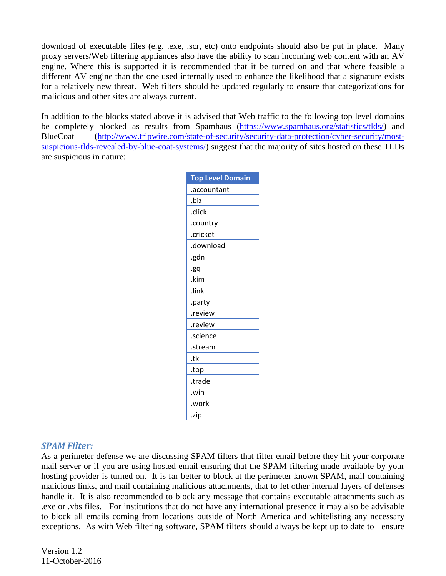download of executable files (e.g. .exe, .scr, etc) onto endpoints should also be put in place. Many proxy servers/Web filtering appliances also have the ability to scan incoming web content with an AV engine. Where this is supported it is recommended that it be turned on and that where feasible a different AV engine than the one used internally used to enhance the likelihood that a signature exists for a relatively new threat. Web filters should be updated regularly to ensure that categorizations for malicious and other sites are always current.

In addition to the blocks stated above it is advised that Web traffic to the following top level domains be completely blocked as results from Spamhaus [\(https://www.spamhaus.org/statistics/tlds/\)](https://www.spamhaus.org/statistics/tlds/) and BlueCoat [\(http://www.tripwire.com/state-of-security/security-data-protection/cyber-security/most](http://www.tripwire.com/state-of-security/security-data-protection/cyber-security/most-suspicious-tlds-revealed-by-blue-coat-systems/)[suspicious-tlds-revealed-by-blue-coat-systems/\)](http://www.tripwire.com/state-of-security/security-data-protection/cyber-security/most-suspicious-tlds-revealed-by-blue-coat-systems/) suggest that the majority of sites hosted on these TLDs are suspicious in nature:

| <b>Top Level Domain</b> |
|-------------------------|
| .accountant             |
| .biz                    |
| .click                  |
| .country                |
| .cricket                |
| .download               |
| .gdn                    |
| .gq                     |
| .kim                    |
| .link                   |
| .party                  |
| .review                 |
| .review                 |
| .science                |
| .stream                 |
| .tk                     |
| .top                    |
| .trade                  |
| win.                    |
| .work                   |
| .zip                    |

#### *SPAM Filter:*

As a perimeter defense we are discussing SPAM filters that filter email before they hit your corporate mail server or if you are using hosted email ensuring that the SPAM filtering made available by your hosting provider is turned on. It is far better to block at the perimeter known SPAM, mail containing malicious links, and mail containing malicious attachments, that to let other internal layers of defenses handle it. It is also recommended to block any message that contains executable attachments such as .exe or .vbs files. For institutions that do not have any international presence it may also be advisable to block all emails coming from locations outside of North America and whitelisting any necessary exceptions. As with Web filtering software, SPAM filters should always be kept up to date to ensure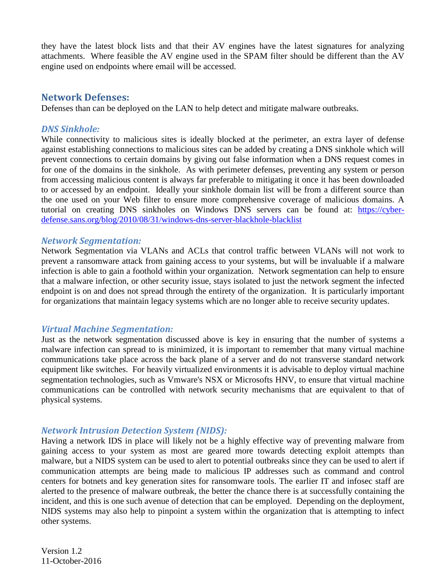they have the latest block lists and that their AV engines have the latest signatures for analyzing attachments. Where feasible the AV engine used in the SPAM filter should be different than the AV engine used on endpoints where email will be accessed.

# **Network Defenses:**

Defenses than can be deployed on the LAN to help detect and mitigate malware outbreaks.

# *DNS Sinkhole:*

While connectivity to malicious sites is ideally blocked at the perimeter, an extra layer of defense against establishing connections to malicious sites can be added by creating a DNS sinkhole which will prevent connections to certain domains by giving out false information when a DNS request comes in for one of the domains in the sinkhole. As with perimeter defenses, preventing any system or person from accessing malicious content is always far preferable to mitigating it once it has been downloaded to or accessed by an endpoint. Ideally your sinkhole domain list will be from a different source than the one used on your Web filter to ensure more comprehensive coverage of malicious domains. A tutorial on creating DNS sinkholes on Windows DNS servers can be found at: [https://cyber](https://cyber-defense.sans.org/blog/2010/08/31/windows-dns-server-blackhole-blacklist)[defense.sans.org/blog/2010/08/31/windows-dns-server-blackhole-blacklist](https://cyber-defense.sans.org/blog/2010/08/31/windows-dns-server-blackhole-blacklist)

## *Network Segmentation:*

Network Segmentation via VLANs and ACLs that control traffic between VLANs will not work to prevent a ransomware attack from gaining access to your systems, but will be invaluable if a malware infection is able to gain a foothold within your organization. Network segmentation can help to ensure that a malware infection, or other security issue, stays isolated to just the network segment the infected endpoint is on and does not spread through the entirety of the organization. It is particularly important for organizations that maintain legacy systems which are no longer able to receive security updates.

# *Virtual Machine Segmentation:*

Just as the network segmentation discussed above is key in ensuring that the number of systems a malware infection can spread to is minimized, it is important to remember that many virtual machine communications take place across the back plane of a server and do not transverse standard network equipment like switches. For heavily virtualized environments it is advisable to deploy virtual machine segmentation technologies, such as Vmware's NSX or Microsofts HNV, to ensure that virtual machine communications can be controlled with network security mechanisms that are equivalent to that of physical systems.

# *Network Intrusion Detection System (NIDS):*

Having a network IDS in place will likely not be a highly effective way of preventing malware from gaining access to your system as most are geared more towards detecting exploit attempts than malware, but a NIDS system can be used to alert to potential outbreaks since they can be used to alert if communication attempts are being made to malicious IP addresses such as command and control centers for botnets and key generation sites for ransomware tools. The earlier IT and infosec staff are alerted to the presence of malware outbreak, the better the chance there is at successfully containing the incident, and this is one such avenue of detection that can be employed. Depending on the deployment, NIDS systems may also help to pinpoint a system within the organization that is attempting to infect other systems.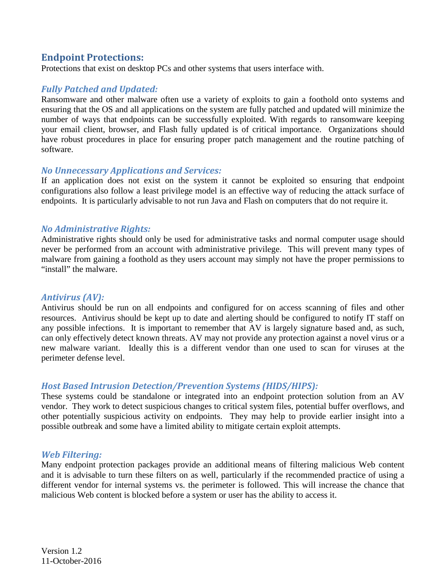# **Endpoint Protections:**

Protections that exist on desktop PCs and other systems that users interface with.

# *Fully Patched and Updated:*

Ransomware and other malware often use a variety of exploits to gain a foothold onto systems and ensuring that the OS and all applications on the system are fully patched and updated will minimize the number of ways that endpoints can be successfully exploited. With regards to ransomware keeping your email client, browser, and Flash fully updated is of critical importance. Organizations should have robust procedures in place for ensuring proper patch management and the routine patching of software.

## *No Unnecessary Applications and Services:*

If an application does not exist on the system it cannot be exploited so ensuring that endpoint configurations also follow a least privilege model is an effective way of reducing the attack surface of endpoints. It is particularly advisable to not run Java and Flash on computers that do not require it.

## *No Administrative Rights:*

Administrative rights should only be used for administrative tasks and normal computer usage should never be performed from an account with administrative privilege. This will prevent many types of malware from gaining a foothold as they users account may simply not have the proper permissions to "install" the malware.

# *Antivirus (AV):*

Antivirus should be run on all endpoints and configured for on access scanning of files and other resources. Antivirus should be kept up to date and alerting should be configured to notify IT staff on any possible infections. It is important to remember that AV is largely signature based and, as such, can only effectively detect known threats. AV may not provide any protection against a novel virus or a new malware variant. Ideally this is a different vendor than one used to scan for viruses at the perimeter defense level.

# *Host Based Intrusion Detection/Prevention Systems (HIDS/HIPS):*

These systems could be standalone or integrated into an endpoint protection solution from an AV vendor. They work to detect suspicious changes to critical system files, potential buffer overflows, and other potentially suspicious activity on endpoints. They may help to provide earlier insight into a possible outbreak and some have a limited ability to mitigate certain exploit attempts.

#### *Web Filtering:*

Many endpoint protection packages provide an additional means of filtering malicious Web content and it is advisable to turn these filters on as well, particularly if the recommended practice of using a different vendor for internal systems vs. the perimeter is followed. This will increase the chance that malicious Web content is blocked before a system or user has the ability to access it.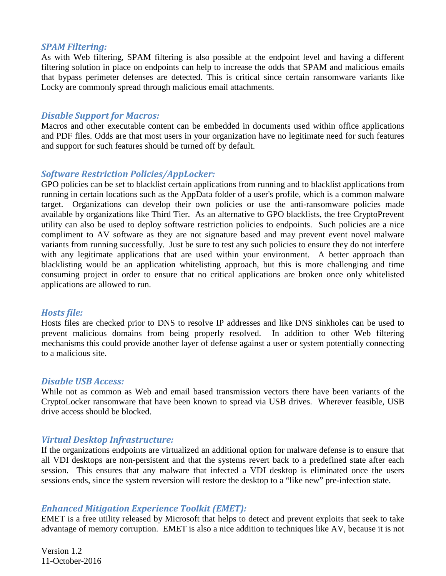#### *SPAM Filtering:*

As with Web filtering, SPAM filtering is also possible at the endpoint level and having a different filtering solution in place on endpoints can help to increase the odds that SPAM and malicious emails that bypass perimeter defenses are detected. This is critical since certain ransomware variants like Locky are commonly spread through malicious email attachments.

#### *Disable Support for Macros:*

Macros and other executable content can be embedded in documents used within office applications and PDF files. Odds are that most users in your organization have no legitimate need for such features and support for such features should be turned off by default.

# *Software Restriction Policies/AppLocker:*

GPO policies can be set to blacklist certain applications from running and to blacklist applications from running in certain locations such as the AppData folder of a user's profile, which is a common malware target. Organizations can develop their own policies or use the anti-ransomware policies made available by organizations like Third Tier. As an alternative to GPO blacklists, the free CryptoPrevent utility can also be used to deploy software restriction policies to endpoints. Such policies are a nice compliment to AV software as they are not signature based and may prevent event novel malware variants from running successfully. Just be sure to test any such policies to ensure they do not interfere with any legitimate applications that are used within your environment. A better approach than blacklisting would be an application whitelisting approach, but this is more challenging and time consuming project in order to ensure that no critical applications are broken once only whitelisted applications are allowed to run.

#### *Hosts file:*

Hosts files are checked prior to DNS to resolve IP addresses and like DNS sinkholes can be used to prevent malicious domains from being properly resolved. In addition to other Web filtering mechanisms this could provide another layer of defense against a user or system potentially connecting to a malicious site.

#### *Disable USB Access:*

While not as common as Web and email based transmission vectors there have been variants of the CryptoLocker ransomware that have been known to spread via USB drives. Wherever feasible, USB drive access should be blocked.

#### *Virtual Desktop Infrastructure:*

If the organizations endpoints are virtualized an additional option for malware defense is to ensure that all VDI desktops are non-persistent and that the systems revert back to a predefined state after each session. This ensures that any malware that infected a VDI desktop is eliminated once the users sessions ends, since the system reversion will restore the desktop to a "like new" pre-infection state.

#### *Enhanced Mitigation Experience Toolkit (EMET):*

EMET is a free utility released by Microsoft that helps to detect and prevent exploits that seek to take advantage of memory corruption. EMET is also a nice addition to techniques like AV, because it is not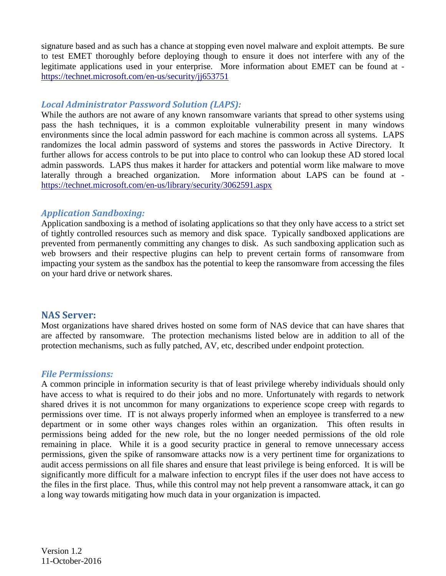signature based and as such has a chance at stopping even novel malware and exploit attempts. Be sure to test EMET thoroughly before deploying though to ensure it does not interfere with any of the legitimate applications used in your enterprise. More information about EMET can be found at <https://technet.microsoft.com/en-us/security/jj653751>

# *Local Administrator Password Solution (LAPS):*

While the authors are not aware of any known ransomware variants that spread to other systems using pass the hash techniques, it is a common exploitable vulnerability present in many windows environments since the local admin password for each machine is common across all systems. LAPS randomizes the local admin password of systems and stores the passwords in Active Directory. It further allows for access controls to be put into place to control who can lookup these AD stored local admin passwords. LAPS thus makes it harder for attackers and potential worm like malware to move laterally through a breached organization. More information about LAPS can be found at <https://technet.microsoft.com/en-us/library/security/3062591.aspx>

# *Application Sandboxing:*

Application sandboxing is a method of isolating applications so that they only have access to a strict set of tightly controlled resources such as memory and disk space. Typically sandboxed applications are prevented from permanently committing any changes to disk. As such sandboxing application such as web browsers and their respective plugins can help to prevent certain forms of ransomware from impacting your system as the sandbox has the potential to keep the ransomware from accessing the files on your hard drive or network shares.

# **NAS Server:**

Most organizations have shared drives hosted on some form of NAS device that can have shares that are affected by ransomware. The protection mechanisms listed below are in addition to all of the protection mechanisms, such as fully patched, AV, etc, described under endpoint protection.

# *File Permissions:*

A common principle in information security is that of least privilege whereby individuals should only have access to what is required to do their jobs and no more. Unfortunately with regards to network shared drives it is not uncommon for many organizations to experience scope creep with regards to permissions over time. IT is not always properly informed when an employee is transferred to a new department or in some other ways changes roles within an organization. This often results in permissions being added for the new role, but the no longer needed permissions of the old role remaining in place. While it is a good security practice in general to remove unnecessary access permissions, given the spike of ransomware attacks now is a very pertinent time for organizations to audit access permissions on all file shares and ensure that least privilege is being enforced. It is will be significantly more difficult for a malware infection to encrypt files if the user does not have access to the files in the first place. Thus, while this control may not help prevent a ransomware attack, it can go a long way towards mitigating how much data in your organization is impacted.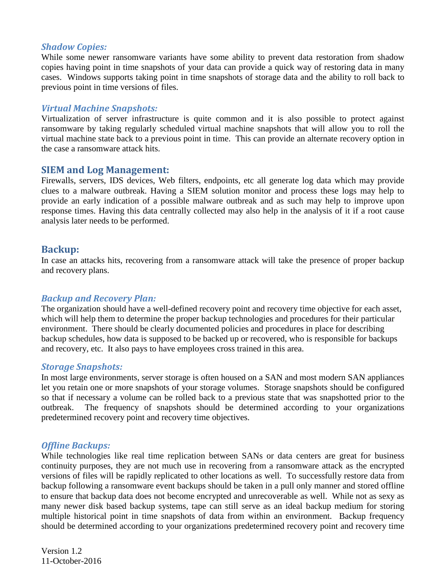## *Shadow Copies:*

While some newer ransomware variants have some ability to prevent data restoration from shadow copies having point in time snapshots of your data can provide a quick way of restoring data in many cases. Windows supports taking point in time snapshots of storage data and the ability to roll back to previous point in time versions of files.

## *Virtual Machine Snapshots:*

Virtualization of server infrastructure is quite common and it is also possible to protect against ransomware by taking regularly scheduled virtual machine snapshots that will allow you to roll the virtual machine state back to a previous point in time. This can provide an alternate recovery option in the case a ransomware attack hits.

## **SIEM and Log Management:**

Firewalls, servers, IDS devices, Web filters, endpoints, etc all generate log data which may provide clues to a malware outbreak. Having a SIEM solution monitor and process these logs may help to provide an early indication of a possible malware outbreak and as such may help to improve upon response times. Having this data centrally collected may also help in the analysis of it if a root cause analysis later needs to be performed.

## **Backup:**

In case an attacks hits, recovering from a ransomware attack will take the presence of proper backup and recovery plans.

#### *Backup and Recovery Plan:*

The organization should have a well-defined recovery point and recovery time objective for each asset, which will help them to determine the proper backup technologies and procedures for their particular environment. There should be clearly documented policies and procedures in place for describing backup schedules, how data is supposed to be backed up or recovered, who is responsible for backups and recovery, etc. It also pays to have employees cross trained in this area.

#### *Storage Snapshots:*

In most large environments, server storage is often housed on a SAN and most modern SAN appliances let you retain one or more snapshots of your storage volumes. Storage snapshots should be configured so that if necessary a volume can be rolled back to a previous state that was snapshotted prior to the outbreak. The frequency of snapshots should be determined according to your organizations predetermined recovery point and recovery time objectives.

#### *Offline Backups:*

While technologies like real time replication between SANs or data centers are great for business continuity purposes, they are not much use in recovering from a ransomware attack as the encrypted versions of files will be rapidly replicated to other locations as well. To successfully restore data from backup following a ransomware event backups should be taken in a pull only manner and stored offline to ensure that backup data does not become encrypted and unrecoverable as well. While not as sexy as many newer disk based backup systems, tape can still serve as an ideal backup medium for storing multiple historical point in time snapshots of data from within an environment. Backup frequency should be determined according to your organizations predetermined recovery point and recovery time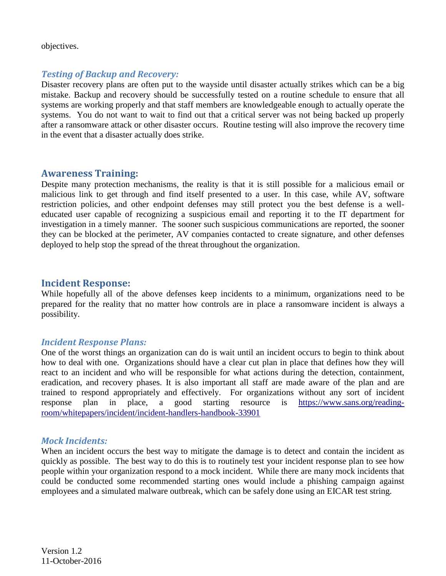objectives.

# *Testing of Backup and Recovery:*

Disaster recovery plans are often put to the wayside until disaster actually strikes which can be a big mistake. Backup and recovery should be successfully tested on a routine schedule to ensure that all systems are working properly and that staff members are knowledgeable enough to actually operate the systems. You do not want to wait to find out that a critical server was not being backed up properly after a ransomware attack or other disaster occurs. Routine testing will also improve the recovery time in the event that a disaster actually does strike.

# **Awareness Training:**

Despite many protection mechanisms, the reality is that it is still possible for a malicious email or malicious link to get through and find itself presented to a user. In this case, while AV, software restriction policies, and other endpoint defenses may still protect you the best defense is a welleducated user capable of recognizing a suspicious email and reporting it to the IT department for investigation in a timely manner. The sooner such suspicious communications are reported, the sooner they can be blocked at the perimeter, AV companies contacted to create signature, and other defenses deployed to help stop the spread of the threat throughout the organization.

# **Incident Response:**

While hopefully all of the above defenses keep incidents to a minimum, organizations need to be prepared for the reality that no matter how controls are in place a ransomware incident is always a possibility.

#### *Incident Response Plans:*

One of the worst things an organization can do is wait until an incident occurs to begin to think about how to deal with one. Organizations should have a clear cut plan in place that defines how they will react to an incident and who will be responsible for what actions during the detection, containment, eradication, and recovery phases. It is also important all staff are made aware of the plan and are trained to respond appropriately and effectively. For organizations without any sort of incident response plan in place, a good starting resource is [https://www.sans.org/reading](https://www.sans.org/reading-room/whitepapers/incident/incident-handlers-handbook-33901)[room/whitepapers/incident/incident-handlers-handbook-33901](https://www.sans.org/reading-room/whitepapers/incident/incident-handlers-handbook-33901)

# *Mock Incidents:*

When an incident occurs the best way to mitigate the damage is to detect and contain the incident as quickly as possible. The best way to do this is to routinely test your incident response plan to see how people within your organization respond to a mock incident. While there are many mock incidents that could be conducted some recommended starting ones would include a phishing campaign against employees and a simulated malware outbreak, which can be safely done using an EICAR test string.